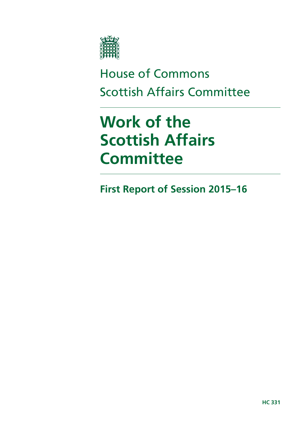

# House of Commons Scottish Affairs Committee

# **Work of the Scottish Affairs Committee**

**First Report of Session 2015–16**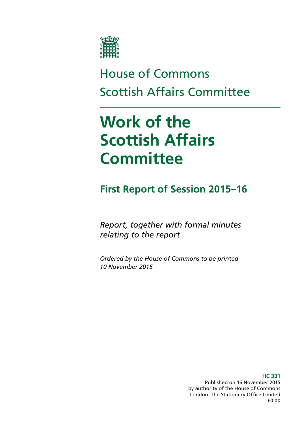

# House of Commons Scottish Affairs Committee

# **Work of the Scottish Affairs Committee**

## **First Report of Session 2015–16**

*Report, together with formal minutes relating to the report*

*Ordered by the House of Commons to be printed 10 November 2015*

> **HC 331** Published on 16 November 2015 by authority of the House of Commons London: The Stationery Office Limited £0.00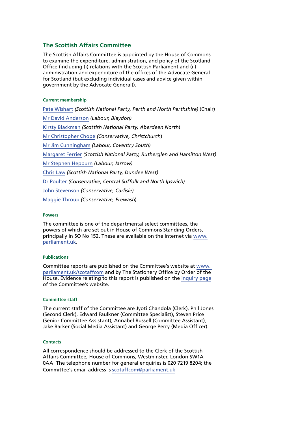#### **The Scottish Affairs Committee**

The Scottish Affairs Committee is appointed by the House of Commons to examine the expenditure, administration, and policy of the Scotland Office (including (i) relations with the Scottish Parliament and (ii) administration and expenditure of the offices of the Advocate General for Scotland (but excluding individual cases and advice given within government by the Advocate General)).

#### **Current membership**

[Pete Wishart](http://www.parliament.uk/biographies/commons/pete-wishart/1440) *(Scottish National Party, Perth and North Perthshire)* (Chair) [Mr David Anderson](http://www.parliament.uk/biographies/commons/mr-david-anderson/1486) *(Labour, Blaydon)* [Kirsty Blackman](http://www.parliament.uk/biographies/commons/kirsty-blackman/4357) *(Scottish National Party, Aberdeen North*) [Mr Christopher Chope](http://www.parliament.uk/biographies/commons/mr-christopher-chope/242) *(Conservative, Christchurch*) [Mr Jim Cunningham](http://www.parliament.uk/biographies/commons/mr-jim-cunningham/308) *(Labour, Coventry South)* [Margaret Ferrier](http://www.parliament.uk/biographies/commons/margaret-ferrier/4386) *(Scottish National Party, Rutherglen and Hamilton West)* [Mr Stephen Hepburn](http://www.parliament.uk/biographies/commons/mr-stephen-hepburn/520) *(Labour, Jarrow)* [Chris Law](http://www.parliament.uk/biographies/commons/chris-law/4403) *(Scottish National Party, Dundee West)* [Dr Poulter](http://www.parliament.uk/biographies/commons/dr-poulter/3932) *(Conservative, Central Suffolk and North Ipswich)* [John Stevenson](http://www.parliament.uk/biographies/commons/john-stevenson/3942) *(Conservative, Carlisle)* [Maggie Throup](http://www.parliament.uk/biographies/commons/maggie-throup/4447) *(Conservative, Erewash*)

#### **Powers**

The committee is one of the departmental select committees, the powers of which are set out in House of Commons Standing Orders, principally in SO No 152. These are available on the internet via [www.](http://www.parliament.uk) [parliament.uk.](http://www.parliament.uk)

#### **Publications**

Committee reports are published on the Committee's website at [www.](http://www. parliament.uk/scotaffcom)  [parliament.uk/scotaffcom](http://www. parliament.uk/scotaffcom) and by The Stationery Office by Order of the House. Evidence relating to this report is published on the [inquiry page](http://www.parliament.uk/business/committees/committees-a-z/commons-select/scottish-affairs-committee/inquiries/parliament-2015/work-of-scottish-affairs-committee-2015-2020/) of the Committee's website.

#### **Committee staff**

The current staff of the Committee are Jyoti Chandola (Clerk), Phil Jones (Second Clerk), Edward Faulkner (Committee Specialist), Steven Price (Senior Committee Assistant), Annabel Russell (Committee Assistant), Jake Barker (Social Media Assistant) and George Perry (Media Officer).

#### **Contacts**

All correspondence should be addressed to the Clerk of the Scottish Affairs Committee, House of Commons, Westminster, London SW1A 0AA. The telephone number for general enquiries is 020 7219 8204; the Committee's email address is [scotaffcom@parliament.uk](mailto:scotaffcom@parliament.uk)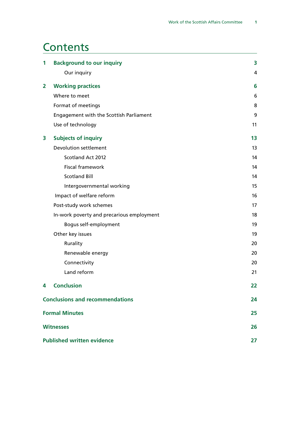### **Contents**

| 1                                      | <b>Background to our inquiry</b>          | 3  |
|----------------------------------------|-------------------------------------------|----|
|                                        | Our inquiry                               | 4  |
| $\mathbf{2}$                           | <b>Working practices</b>                  | 6  |
|                                        | Where to meet                             | 6  |
|                                        | Format of meetings                        | 8  |
|                                        | Engagement with the Scottish Parliament   | 9  |
|                                        | Use of technology                         | 11 |
| 3                                      | <b>Subjects of inquiry</b>                | 13 |
|                                        | Devolution settlement                     | 13 |
|                                        | Scotland Act 2012                         | 14 |
|                                        | <b>Fiscal framework</b>                   | 14 |
|                                        | <b>Scotland Bill</b>                      | 14 |
|                                        | Intergovernmental working                 | 15 |
|                                        | Impact of welfare reform                  | 16 |
|                                        | Post-study work schemes                   | 17 |
|                                        | In-work poverty and precarious employment | 18 |
|                                        | Bogus self-employment                     | 19 |
|                                        | Other key issues                          | 19 |
|                                        | Rurality                                  | 20 |
|                                        | Renewable energy                          | 20 |
|                                        | Connectivity                              | 20 |
|                                        | Land reform                               | 21 |
| 4                                      | <b>Conclusion</b>                         | 22 |
| <b>Conclusions and recommendations</b> |                                           | 24 |
| <b>Formal Minutes</b>                  |                                           | 25 |
| <b>Witnesses</b>                       |                                           | 26 |
| <b>Published written evidence</b>      |                                           | 27 |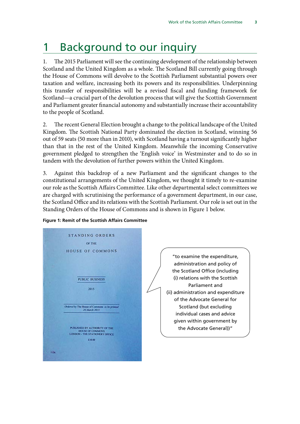## <span id="page-6-0"></span>1 Background to our inquiry

1. The 2015 Parliament will see the continuing development of the relationship between Scotland and the United Kingdom as a whole. The Scotland Bill currently going through the House of Commons will devolve to the Scottish Parliament substantial powers over taxation and welfare, increasing both its powers and its responsibilities. Underpinning this transfer of responsibilities will be a revised fiscal and funding framework for Scotland—a crucial part of the devolution process that will give the Scottish Government and Parliament greater financial autonomy and substantially increase their accountability to the people of Scotland.

2. The recent General Election brought a change to the political landscape of the United Kingdom. The Scottish National Party dominated the election in Scotland, winning 56 out of 59 seats (50 more than in 2010), with Scotland having a turnout significantly higher than that in the rest of the United Kingdom. Meanwhile the incoming Conservative government pledged to strengthen the 'English voice' in Westminster and to do so in tandem with the devolution of further powers within the United Kingdom.

3. Against this backdrop of a new Parliament and the significant changes to the constitutional arrangements of the United Kingdom, we thought it timely to re-examine our role as the Scottish Affairs Committee. Like other departmental select committees we are charged with scrutinising the performance of a government department, in our case, the Scotland Office and its relations with the Scottish Parliament. Our role is set out in the Standing Orders of the House of Commons and is shown in Figure 1 below.



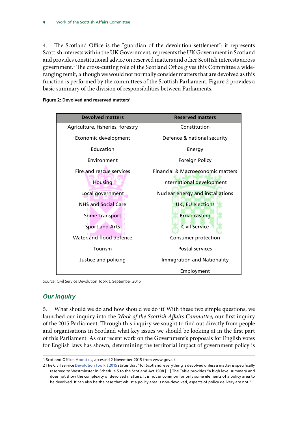<span id="page-7-0"></span>4. The Scotland Office is the "guardian of the devolution settlement": it represents Scottish interests within the UK Government, represents the UK Government in Scotland and provides constitutional advice on reserved matters and other Scottish interests across government.1 The cross-cutting role of the Scotland Office gives this Committee a wideranging remit, although we would not normally consider matters that are devolved as this function is performed by the committees of the Scottish Parliament. Figure 2 provides a basic summary of the division of responsibilities between Parliaments.



**Figure 2: Devolved and reserved matters**<sup>2</sup>

Source: Civil Service Devolution Toolkit, September 2015

#### *Our inquiry*

5. What should we do and how should we do it? With these two simple questions, we launched our inquiry into the *Work of the Scottish Affairs Committee,* our first inquiry of the 2015 Parliament. Through this inquiry we sought to find out directly from people and organisations in Scotland what key issues we should be looking at in the first part of this Parliament. As our recent work on the Government's proposals for English votes for English laws has shown, determining the territorial impact of government policy is

<sup>1</sup> Scotland Office, [About us](https://www.gov.uk/government/organisations/scotland-office/about), accessed 2 November 2015 from www.gov.uk

<sup>2</sup> The Civil Service [Devolution Toolkit 2015](https://www.gov.uk/government/uploads/system/uploads/attachment_data/file/459834/Devolution_Toolkit_FINAL_8_SEPT_PDF.pdf) states that "for Scotland, everything is devolved unless a matter is specifically reserved to Westminster in Schedule 5 to the Scotland Act 1998 […] The Table provides "a high level summary and does not show the complexity of devolved matters. It is not uncommon for only some elements of a policy area to be devolved. It can also be the case that whilst a policy area is non-devolved, aspects of policy delivery are not."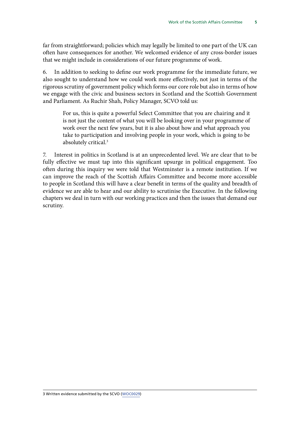far from straightforward; policies which may legally be limited to one part of the UK can often have consequences for another. We welcomed evidence of any cross-border issues that we might include in considerations of our future programme of work.

6. In addition to seeking to define our work programme for the immediate future, we also sought to understand how we could work more effectively, not just in terms of the rigorous scrutiny of government policy which forms our core role but also in terms of how we engage with the civic and business sectors in Scotland and the Scottish Government and Parliament. As Ruchir Shah, Policy Manager, SCVO told us:

For us, this is quite a powerful Select Committee that you are chairing and it is not just the content of what you will be looking over in your programme of work over the next few years, but it is also about how and what approach you take to participation and involving people in your work, which is going to be absolutely critical.3

7. Interest in politics in Scotland is at an unprecedented level. We are clear that to be fully effective we must tap into this significant upsurge in political engagement. Too often during this inquiry we were told that Westminster is a remote institution. If we can improve the reach of the Scottish Affairs Committee and become more accessible to people in Scotland this will have a clear benefit in terms of the quality and breadth of evidence we are able to hear and our ability to scrutinise the Executive. In the following chapters we deal in turn with our working practices and then the issues that demand our scrutiny.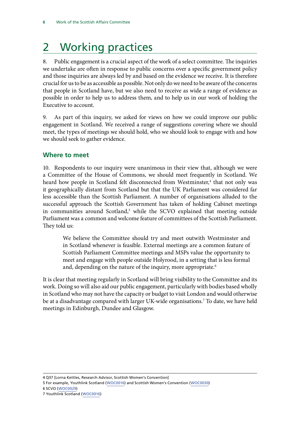## <span id="page-9-0"></span>2 Working practices

8. Public engagement is a crucial aspect of the work of a select committee. The inquiries we undertake are often in response to public concerns over a specific government policy and those inquiries are always led by and based on the evidence we receive. It is therefore crucial for us to be as accessible as possible. Not only do we need to be aware of the concerns that people in Scotland have, but we also need to receive as wide a range of evidence as possible in order to help us to address them, and to help us in our work of holding the Executive to account.

9. As part of this inquiry, we asked for views on how we could improve our public engagement in Scotland. We received a range of suggestions covering where we should meet, the types of meetings we should hold, who we should look to engage with and how we should seek to gather evidence.

#### **Where to meet**

10. Respondents to our inquiry were unanimous in their view that, although we were a Committee of the House of Commons, we should meet frequently in Scotland. We heard how people in Scotland felt disconnected from Westminster,<sup>4</sup> that not only was it geographically distant from Scotland but that the UK Parliament was considered far less accessible than the Scottish Parliament. A number of organisations alluded to the successful approach the Scottish Government has taken of holding Cabinet meetings in communities around Scotland,<sup>5</sup> while the SCVO explained that meeting outside Parliament was a common and welcome feature of committees of the Scottish Parliament. They told us:

We believe the Committee should try and meet outwith Westminster and in Scotland whenever is feasible. External meetings are a common feature of Scottish Parliament Committee meetings and MSPs value the opportunity to meet and engage with people outside Holyrood, in a setting that is less formal and, depending on the nature of the inquiry, more appropriate.<sup>6</sup>

It is clear that meeting regularly in Scotland will bring visibility to the Committee and its work. Doing so will also aid our public engagement, particularly with bodies based wholly in Scotland who may not have the capacity or budget to visit London and would otherwise be at a disadvantage compared with larger UK-wide organisations.7 To date, we have held meetings in Edinburgh, Dundee and Glasgow.

<sup>4</sup> Q37 [Lorna Kettles, Research Advisor, Scottish Women's Convention]

<sup>5</sup> For example, Youthlink Scotland ([WOC0016](http://data.parliament.uk/writtenevidence/committeeevidence.svc/evidencedocument/scottish-affairs-committee/work-of-the-scottish-affairs-committee/written/19980.html)) and Scottish Women's Convention ([WOC0030](http://data.parliament.uk/writtenevidence/committeeevidence.svc/evidencedocument/scottish-affairs-committee/work-of-the-scottish-affairs-committee/written/20378.html))

<sup>6</sup> SCVO ([WOC0029](http://data.parliament.uk/writtenevidence/committeeevidence.svc/evidencedocument/scottish-affairs-committee/work-of-the-scottish-affairs-committee/written/20373.html))

<sup>7</sup> Youthlink Scotland ([WOC0016\)](http://data.parliament.uk/writtenevidence/committeeevidence.svc/evidencedocument/scottish-affairs-committee/work-of-the-scottish-affairs-committee/written/19980.html)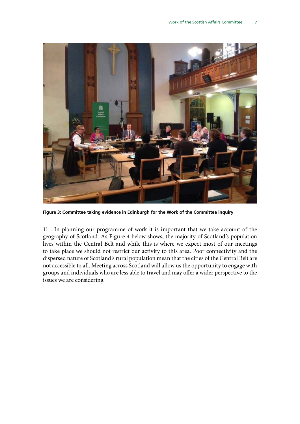

**Figure 3: Committee taking evidence in Edinburgh for the Work of the Committee inquiry**

11. In planning our programme of work it is important that we take account of the geography of Scotland. As Figure 4 below shows, the majority of Scotland's population lives within the Central Belt and while this is where we expect most of our meetings to take place we should not restrict our activity to this area. Poor connectivity and the dispersed nature of Scotland's rural population mean that the cities of the Central Belt are not accessible to all. Meeting across Scotland will allow us the opportunity to engage with groups and individuals who are less able to travel and may offer a wider perspective to the issues we are considering.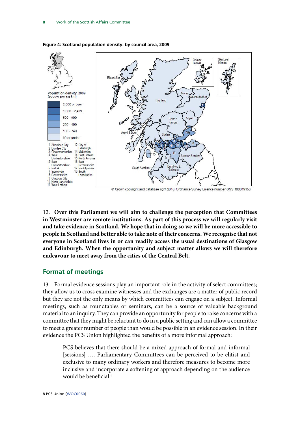

#### <span id="page-11-0"></span>**Figure 4: Scotland population density: by council area, 2009**

12. **Over this Parliament we will aim to challenge the perception that Committees in Westminster are remote institutions. As part of this process we will regularly visit and take evidence in Scotland. We hope that in doing so we will be more accessible to people in Scotland and better able to take note of their concerns. We recognise that not everyone in Scotland lives in or can readily access the usual destinations of Glasgow and Edinburgh. When the opportunity and subject matter allows we will therefore endeavour to meet away from the cities of the Central Belt.**

#### **Format of meetings**

13. Formal evidence sessions play an important role in the activity of select committees; they allow us to cross examine witnesses and the exchanges are a matter of public record but they are not the only means by which committees can engage on a subject. Informal meetings, such as roundtables or seminars, can be a source of valuable background material to an inquiry. They can provide an opportunity for people to raise concerns with a committee that they might be reluctant to do in a public setting and can allow a committee to meet a greater number of people than would be possible in an evidence session. In their evidence the PCS Union highlighted the benefits of a more informal approach:

PCS believes that there should be a mixed approach of formal and informal [sessions] …. Parliamentary Committees can be perceived to be elitist and exclusive to many ordinary workers and therefore measures to become more inclusive and incorporate a softening of approach depending on the audience would be beneficial.<sup>8</sup>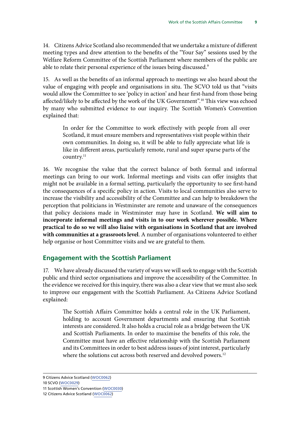<span id="page-12-0"></span>14. Citizens Advice Scotland also recommended that we undertake a mixture of different meeting types and drew attention to the benefits of the "Your Say" sessions used by the Welfare Reform Committee of the Scottish Parliament where members of the public are able to relate their personal experience of the issues being discussed.<sup>9</sup>

15. As well as the benefits of an informal approach to meetings we also heard about the value of engaging with people and organisations in situ. The SCVO told us that "visits would allow the Committee to see 'policy in action' and hear first-hand from those being affected/likely to be affected by the work of the UK Government".<sup>10</sup> This view was echoed by many who submitted evidence to our inquiry. The Scottish Women's Convention explained that:

In order for the Committee to work effectively with people from all over Scotland, it must ensure members and representatives visit people within their own communities. In doing so, it will be able to fully appreciate what life is like in different areas, particularly remote, rural and super sparse parts of the country.<sup>11</sup>

16. We recognise the value that the correct balance of both formal and informal meetings can bring to our work. Informal meetings and visits can offer insights that might not be available in a formal setting, particularly the opportunity to see first-hand the consequences of a specific policy in action. Visits to local communities also serve to increase the visibility and accessibility of the Committee and can help to breakdown the perception that politicians in Westminster are remote and unaware of the consequences that policy decisions made in Westminster may have in Scotland. **We will aim to incorporate informal meetings and visits in to our work wherever possible. Where practical to do so we will also liaise with organisations in Scotland that are involved with communities at a grassroots level**. A number of organisations volunteered to either help organise or host Committee visits and we are grateful to them.

#### **Engagement with the Scottish Parliament**

17. We have already discussed the variety of ways we will seek to engage with the Scottish public and third sector organisations and improve the accessibility of the Committee. In the evidence we received for this inquiry, there was also a clear view that we must also seek to improve our engagement with the Scottish Parliament. As Citizens Advice Scotland explained:

The Scottish Affairs Committee holds a central role in the UK Parliament, holding to account Government departments and ensuring that Scottish interests are considered. It also holds a crucial role as a bridge between the UK and Scottish Parliaments. In order to maximise the benefits of this role, the Committee must have an effective relationship with the Scottish Parliament and its Committees in order to best address issues of joint interest, particularly where the solutions cut across both reserved and devolved powers.<sup>12</sup>

<sup>9</sup> Citizens Advice Scotland ([WOC0062](http://data.parliament.uk/writtenevidence/committeeevidence.svc/evidencedocument/scottish-affairs-committee/work-of-the-scottish-affairs-committee/written/22769.html))

<sup>10</sup> SCVO ([WOC0029](http://data.parliament.uk/writtenevidence/committeeevidence.svc/evidencedocument/scottish-affairs-committee/work-of-the-scottish-affairs-committee/written/20373.html))

<sup>11</sup> Scottish Women's Convention ([WOC0030\)](http://data.parliament.uk/writtenevidence/committeeevidence.svc/evidencedocument/scottish-affairs-committee/work-of-the-scottish-affairs-committee/written/20378.html)

<sup>12</sup> Citizens Advice Scotland [\(WOC0062](http://data.parliament.uk/writtenevidence/committeeevidence.svc/evidencedocument/scottish-affairs-committee/work-of-the-scottish-affairs-committee/written/22769.html))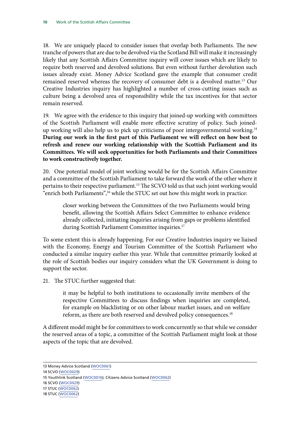18. We are uniquely placed to consider issues that overlap both Parliaments. The new tranche of powers that are due to be devolved via the Scotland Bill will make it increasingly likely that any Scottish Affairs Committee inquiry will cover issues which are likely to require both reserved and devolved solutions. But even without further devolution such issues already exist. Money Advice Scotland gave the example that consumer credit remained reserved whereas the recovery of consumer debt is a devolved matter.13 Our Creative Industries inquiry has highlighted a number of cross-cutting issues such as culture being a devolved area of responsibility while the tax incentives for that sector remain reserved.

19. We agree with the evidence to this inquiry that joined-up working with committees of the Scottish Parliament will enable more effective scrutiny of policy. Such joinedup working will also help us to pick up criticisms of poor intergovernmental working.14 **During our work in the first part of this Parliament we will reflect on how best to refresh and renew our working relationship with the Scottish Parliament and its Committees. We will seek opportunities for both Parliaments and their Committees to work constructively together.**

20. One potential model of joint working would be for the Scottish Affairs Committee and a committee of the Scottish Parliament to take forward the work of the other where it pertains to their respective parliament.<sup>15</sup> The SCVO told us that such joint working would "enrich both Parliaments",<sup>16</sup> while the STUC set out how this might work in practice:

closer working between the Committees of the two Parliaments would bring benefit, allowing the Scottish Affairs Select Committee to enhance evidence already collected, initiating inquiries arising from gaps or problems identified during Scottish Parliament Committee inquiries.<sup>17</sup>

To some extent this is already happening. For our Creative Industries inquiry we liaised with the Economy, Energy and Tourism Committee of the Scottish Parliament who conducted a similar inquiry earlier this year. While that committee primarily looked at the role of Scottish bodies our inquiry considers what the UK Government is doing to support the sector.

21. The STUC further suggested that:

it may be helpful to both institutions to occasionally invite members of the respective Committees to discuss findings when inquiries are completed, for example on blacklisting or on other labour market issues, and on welfare reform, as there are both reserved and devolved policy consequences.<sup>18</sup>

A different model might be for committees to work concurrently so that while we consider the reserved areas of a topic, a committee of the Scottish Parliament might look at those aspects of the topic that are devolved.

<sup>13</sup> Money Advice Scotland [\(WOC0061](http://data.parliament.uk/writtenevidence/committeeevidence.svc/evidencedocument/scottish-affairs-committee/work-of-the-scottish-affairs-committee/written/22645.html))

<sup>14</sup> SCVO ([WOC0029](http://data.parliament.uk/writtenevidence/committeeevidence.svc/evidencedocument/scottish-affairs-committee/work-of-the-scottish-affairs-committee/written/20373.html))

<sup>15</sup> Youthlink Scotland ([WOC0016\)](http://data.parliament.uk/writtenevidence/committeeevidence.svc/evidencedocument/scottish-affairs-committee/work-of-the-scottish-affairs-committee/written/19980.html); Citizens Advice Scotland ([WOC0062](http://data.parliament.uk/writtenevidence/committeeevidence.svc/evidencedocument/scottish-affairs-committee/work-of-the-scottish-affairs-committee/written/22769.html))

<sup>16</sup> SCVO ([WOC0029](http://data.parliament.uk/writtenevidence/committeeevidence.svc/evidencedocument/scottish-affairs-committee/work-of-the-scottish-affairs-committee/written/20373.html))

<sup>17</sup> STUC [\(WOC0062](http://data.parliament.uk/writtenevidence/committeeevidence.svc/evidencedocument/scottish-affairs-committee/work-of-the-scottish-affairs-committee/written/20994.html))

<sup>18</sup> STUC ([WOC0062](http://data.parliament.uk/writtenevidence/committeeevidence.svc/evidencedocument/scottish-affairs-committee/work-of-the-scottish-affairs-committee/written/20994.html))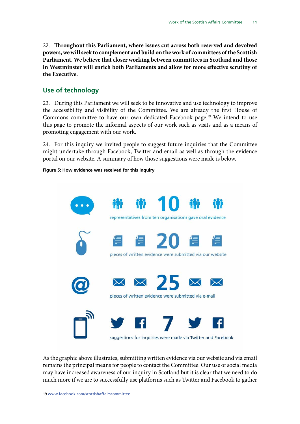<span id="page-14-0"></span>22. **Throughout this Parliament, where issues cut across both reserved and devolved powers, we will seek to complement and build on the work of committees of the Scottish Parliament. We believe that closer working between committees in Scotland and those in Westminster will enrich both Parliaments and allow for more effective scrutiny of the Executive.**

#### **Use of technology**

23. During this Parliament we will seek to be innovative and use technology to improve the accessibility and visibility of the Committee. We are already the first House of Commons committee to have our own dedicated Facebook page.<sup>19</sup> We intend to use this page to promote the informal aspects of our work such as visits and as a means of promoting engagement with our work.

24. For this inquiry we invited people to suggest future inquiries that the Committee might undertake through Facebook, Twitter and email as well as through the evidence portal on our website. A summary of how those suggestions were made is below.

#### **Figure 5: How evidence was received for this inquiry**



As the graphic above illustrates, submitting written evidence via our website and via email remains the principal means for people to contact the Committee. Our use of social media may have increased awareness of our inquiry in Scotland but it is clear that we need to do much more if we are to successfully use platforms such as Twitter and Facebook to gather

19 [www.facebook.com/scottishaffairscommittee](http://www.facebook.com/scottishaffairscommittee)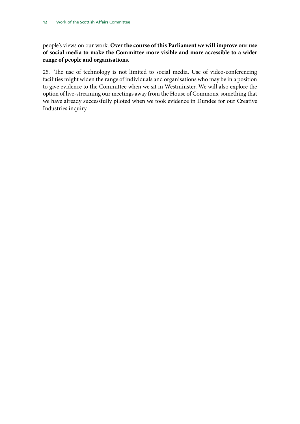people's views on our work. **Over the course of this Parliament we will improve our use of social media to make the Committee more visible and more accessible to a wider range of people and organisations.**

25. The use of technology is not limited to social media. Use of video-conferencing facilities might widen the range of individuals and organisations who may be in a position to give evidence to the Committee when we sit in Westminster. We will also explore the option of live-streaming our meetings away from the House of Commons, something that we have already successfully piloted when we took evidence in Dundee for our Creative Industries inquiry.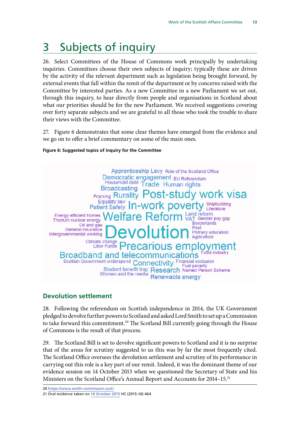# <span id="page-16-0"></span>3 Subjects of inquiry

26. Select Committees of the House of Commons work principally by undertaking inquiries. Committees choose their own subjects of inquiry; typically these are driven by the activity of the relevant department such as legislation being brought forward, by external events that fall within the remit of the department or by concerns raised with the Committee by interested parties. As a new Committee in a new Parliament we set out, through this inquiry, to hear directly from people and organisations in Scotland about what our priorities should be for the new Parliament. We received suggestions covering over forty separate subjects and we are grateful to all those who took the trouble to share their views with the Committee.

27. Figure 6 demonstrates that some clear themes have emerged from the evidence and we go on to offer a brief commentary on some of the main ones.



#### **Figure 6: Suggested topics of inquiry for the Committee**

#### **Devolution settlement**

28. Following the referendum on Scottish independence in 2014, the UK Government pledged to devolve further powers to Scotland and asked Lord Smith to set up a Commission to take forward this commitment.<sup>20</sup> The Scotland Bill currently going through the House of Commons is the result of that process.

29. The Scotland Bill is set to devolve significant powers to Scotland and it is no surprise that of the areas for scrutiny suggested to us this was by far the most frequently cited. The Scotland Office oversees the devolution settlement and scrutiny of its performance in carrying out this role is a key part of our remit. Indeed, it was the dominant theme of our evidence session on 14 October 2015 when we questioned the Secretary of State and his Ministers on the Scotland Office's Annual Report and Accounts for 2014–15.21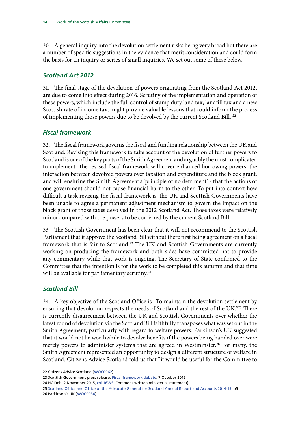<span id="page-17-0"></span>30. A general inquiry into the devolution settlement risks being very broad but there are a number of specific suggestions in the evidence that merit consideration and could form the basis for an inquiry or series of small inquiries. We set out some of these below.

#### *Scotland Act 2012*

31. The final stage of the devolution of powers originating from the Scotland Act 2012, are due to come into effect during 2016. Scrutiny of the implementation and operation of these powers, which include the full control of stamp duty land tax, landfill tax and a new Scottish rate of income tax, might provide valuable lessons that could inform the process of implementing those powers due to be devolved by the current Scotland Bill.<sup>22</sup>

#### *Fiscal framework*

32. The fiscal framework governs the fiscal and funding relationship between the UK and Scotland. Revising this framework to take account of the devolution of further powers to Scotland is one of the key parts of the Smith Agreement and arguably the most complicated to implement. The revised fiscal framework will cover enhanced borrowing powers, the interaction between devolved powers over taxation and expenditure and the block grant, and will enshrine the Smith Agreement's 'principle of no detriment' - that the actions of one government should not cause financial harm to the other. To put into context how difficult a task revising the fiscal framework is, the UK and Scottish Governments have been unable to agree a permanent adjustment mechanism to govern the impact on the block grant of those taxes devolved in the 2012 Scotland Act. Those taxes were relatively minor compared with the powers to be conferred by the current Scotland Bill.

33. The Scottish Government has been clear that it will not recommend to the Scottish Parliament that it approve the Scotland Bill without there first being agreement on a fiscal framework that is fair to Scotland.<sup>23</sup> The UK and Scottish Governments are currently working on producing the framework and both sides have committed not to provide any commentary while that work is ongoing. The Secretary of State confirmed to the Committee that the intention is for the work to be completed this autumn and that time will be available for parliamentary scrutiny.<sup>24</sup>

#### *Scotland Bill*

34. A key objective of the Scotland Office is "To maintain the devolution settlement by ensuring that devolution respects the needs of Scotland and the rest of the UK."25 There is currently disagreement between the UK and Scottish Governments over whether the latest round of devolution via the Scotland Bill faithfully transposes what was set out in the Smith Agreement, particularly with regard to welfare powers. Parkinson's UK suggested that it would not be worthwhile to devolve benefits if the powers being handed over were merely powers to administer systems that are agreed in Westminster.<sup>26</sup> For many, the Smith Agreement represented an opportunity to design a different structure of welfare in Scotland. Citizens Advice Scotland told us that "it would be useful for the Committee to

23 Scottish Government press release, [Fiscal framework debate](http://news.scotland.gov.uk/News/Fiscal-Framework-debate-1e0a.aspx), 7 October 2015

24 HC Deb, 2 November 2015, col 16WS [Commons written ministerial statement]

<sup>22</sup> Citizens Advice Scotland ([WOC0062\)](http://data.parliament.uk/writtenevidence/committeeevidence.svc/evidencedocument/scottish-affairs-committee/work-of-the-scottish-affairs-committee/written/22769.html)

<sup>25</sup> [Scotland Office and Office of the Advocate General for Scotland Annual Report and Accounts 2014-15](https://www.gov.uk/government/uploads/system/uploads/attachment_data/file/448145/SO_Report_2014-15.pdf), p5 26 Parkinson's UK ([WOC0034\)](http://data.parliament.uk/writtenevidence/committeeevidence.svc/evidencedocument/scottish-affairs-committee/work-of-the-scottish-affairs-committee/written/20391.html)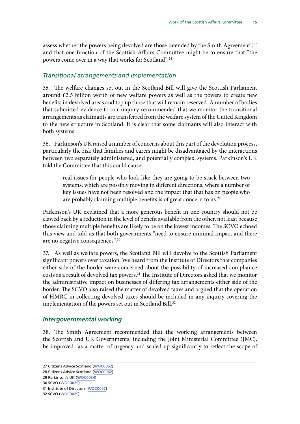<span id="page-18-0"></span>assess whether the powers being devolved are those intended by the Smith Agreement",<sup>27</sup> and that one function of the Scottish Affairs Committee might be to ensure that "the powers come over in a way that works for Scotland".28

#### *Transitional arrangements and implementation*

35. The welfare changes set out in the Scotland Bill will give the Scottish Parliament around £2.5 billion worth of new welfare powers as well as the powers to create new benefits in devolved areas and top up those that will remain reserved. A number of bodies that submitted evidence to our inquiry recommended that we monitor the transitional arrangements as claimants are transferred from the welfare system of the United Kingdom to the new structure in Scotland. It is clear that some claimants will also interact with both systems.

36. Parkinson's UK raised a number of concerns about this part of the devolution process, particularly the risk that families and carers might be disadvantaged by the interactions between two separately administered, and potentially complex, systems. Parkinson's UK told the Committee that this could cause:

real issues for people who look like they are going to be stuck between two systems, which are possibly moving in different directions, where a number of key issues have not been resolved and the impact that that has on people who are probably claiming multiple benefits is of great concern to us.<sup>29</sup>

Parkinson's UK explained that a more generous benefit in one country should not be clawed back by a reduction in the level of benefit available from the other, not least because those claiming multiple benefits are likely to be on the lowest incomes. The SCVO echoed this view and told us that both governments "need to ensure minimal impact and there are no negative consequences".30

37. As well as welfare powers, the Scotland Bill will devolve to the Scottish Parliament significant powers over taxation. We heard from the Institute of Directors that companies either side of the border were concerned about the possibility of increased compliance costs as a result of devolved tax powers.<sup>31</sup> The Institute of Directors asked that we monitor the administrative impact on businesses of differing tax arrangements either side of the border. The SCVO also raised the matter of devolved taxes and argued that the operation of HMRC in collecting devolved taxes should be included in any inquiry covering the implementation of the powers set out in Scotland Bill.<sup>32</sup>

#### *Intergovernmental working*

38. The Smith Agreement recommended that the working arrangements between the Scottish and UK Governments, including the Joint Ministerial Committee (JMC), be improved "as a matter of urgency and scaled up significantly to reflect the scope of

32 SCVO ([WOC0029\)](http://data.parliament.uk/writtenevidence/committeeevidence.svc/evidencedocument/scottish-affairs-committee/work-of-the-scottish-affairs-committee/written/20373.html)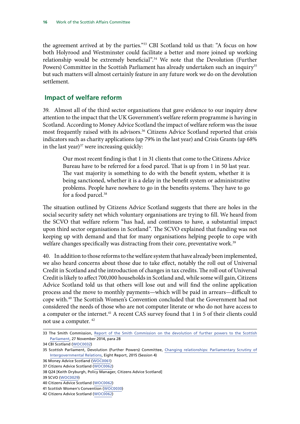<span id="page-19-0"></span>the agreement arrived at by the parties."33 CBI Scotland told us that: "A focus on how both Holyrood and Westminster could facilitate a better and more joined up working relationship would be extremely beneficial".<sup>34</sup> We note that the Devolution (Further Powers) Committee in the Scottish Parliament has already undertaken such an inquiry<sup>35</sup> but such matters will almost certainly feature in any future work we do on the devolution settlement.

#### **Impact of welfare reform**

39. Almost all of the third sector organisations that gave evidence to our inquiry drew attention to the impact that the UK Government's welfare reform programme is having in Scotland. According to Money Advice Scotland the impact of welfare reform was the issue most frequently raised with its advisors.<sup>36</sup> Citizens Advice Scotland reported that crisis indicators such as charity applications (up 79% in the last year) and Crisis Grants (up 68% in the last year) $37$  were increasing quickly:

Our most recent finding is that 1 in 31 clients that come to the Citizens Advice Bureau have to be referred for a food parcel. That is up from 1 in 50 last year. The vast majority is something to do with the benefit system, whether it is being sanctioned, whether it is a delay in the benefit system or administrative problems. People have nowhere to go in the benefits systems. They have to go for a food parcel.<sup>38</sup>

The situation outlined by Citizens Advice Scotland suggests that there are holes in the social security safety net which voluntary organisations are trying to fill. We heard from the SCVO that welfare reform "has had, and continues to have, a substantial impact upon third sector organisations in Scotland". The SCVO explained that funding was not keeping up with demand and that for many organisations helping people to cope with welfare changes specifically was distracting from their core, preventative work.<sup>39</sup>

40. In addition to those reforms to the welfare system that have already been implemented, we also heard concerns about those due to take effect, notably the roll out of Universal Credit in Scotland and the introduction of changes in tax credits. The roll out of Universal Credit is likely to affect 700,000 households in Scotland and, while some will gain, Citizens Advice Scotland told us that others will lose out and will find the online application process and the move to monthly payments—which will be paid in arrears—difficult to cope with.40 The Scottish Women's Convention concluded that the Government had not considered the needs of those who are not computer literate or who do not have access to a computer or the internet.<sup>41</sup> A recent CAS survey found that 1 in 5 of their clients could not use a computer. 42

<sup>33</sup> The Smith Commission, [Report of the Smith Commission on the devolution of further powers to the Scottish](https://www.smith-commission.scot/wp-content/uploads/2014/11/The_Smith_Commission_Report-1.pdf) [Parliament](https://www.smith-commission.scot/wp-content/uploads/2014/11/The_Smith_Commission_Report-1.pdf), 27 November 2014, para 28

<sup>34</sup> CBI Scotland ([WOC0032](http://data.parliament.uk/writtenevidence/committeeevidence.svc/evidencedocument/scottish-affairs-committee/work-of-the-scottish-affairs-committee/written/20385.html))

<sup>35</sup> Scottish Parliament, Devolution (Further Powers) Committee, [Changing relationships: Parliamentary Scrutiny of](http://www.scottish.parliament.uk/parliamentarybusiness/CurrentCommittees/92901.aspx) [Intergovernmental Relations,](http://www.scottish.parliament.uk/parliamentarybusiness/CurrentCommittees/92901.aspx) Eight Report, 2015 (Session 4)

<sup>36</sup> Money Advice Scotland ([WOC0061\)](http://data.parliament.uk/writtenevidence/committeeevidence.svc/evidencedocument/scottish-affairs-committee/work-of-the-scottish-affairs-committee/written/22645.html)

<sup>37</sup> Citizens Advice Scotland ([WOC0062](http://data.parliament.uk/writtenevidence/committeeevidence.svc/evidencedocument/scottish-affairs-committee/work-of-the-scottish-affairs-committee/written/22769.html))

<sup>38</sup> Q24 [Keith Dryburgh, Policy Manager, Citizens Advice Scotland]

<sup>39</sup> SCVO ([WOC0029\)](http://data.parliament.uk/writtenevidence/committeeevidence.svc/evidencedocument/scottish-affairs-committee/work-of-the-scottish-affairs-committee/written/20373.html)

<sup>40</sup> Citizens Advice Scotland ([WOC0062\)](http://data.parliament.uk/writtenevidence/committeeevidence.svc/evidencedocument/scottish-affairs-committee/work-of-the-scottish-affairs-committee/written/22769.html)

<sup>41</sup> Scottish Women's Convention ([WOC0030](http://data.parliament.uk/writtenevidence/committeeevidence.svc/evidencedocument/scottish-affairs-committee/work-of-the-scottish-affairs-committee/written/20378.html))

<sup>42</sup> Citizens Advice Scotland ([WOC0062\)](http://data.parliament.uk/writtenevidence/committeeevidence.svc/evidencedocument/scottish-affairs-committee/work-of-the-scottish-affairs-committee/written/22769.html)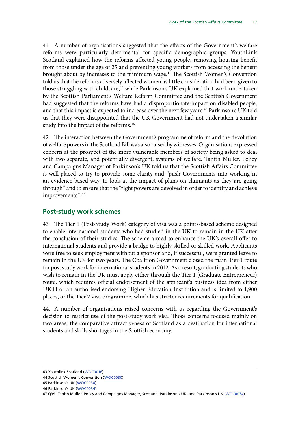<span id="page-20-0"></span>41. A number of organisations suggested that the effects of the Government's welfare reforms were particularly detrimental for specific demographic groups. YouthLink Scotland explained how the reforms affected young people, removing housing benefit from those under the age of 25 and preventing young workers from accessing the benefit brought about by increases to the minimum wage.<sup>43</sup> The Scottish Women's Convention told us that the reforms adversely affected women as little consideration had been given to those struggling with childcare,<sup>44</sup> while Parkinson's UK explained that work undertaken by the Scottish Parliament's Welfare Reform Committee and the Scottish Government had suggested that the reforms have had a disproportionate impact on disabled people, and that this impact is expected to increase over the next few years.45 Parkinson's UK told us that they were disappointed that the UK Government had not undertaken a similar study into the impact of the reforms.<sup>46</sup>

42. The interaction between the Government's programme of reform and the devolution of welfare powers in the Scotland Bill was also raised by witnesses. Organisations expressed concern at the prospect of the more vulnerable members of society being asked to deal with two separate, and potentially divergent, systems of welfare. Tanith Muller, Policy and Campaigns Manager of Parkinson's UK told us that the Scottish Affairs Committee is well-placed to try to provide some clarity and "push Governments into working in an evidence-based way, to look at the impact of plans on claimants as they are going through" and to ensure that the "right powers are devolved in order to identify and achieve improvements". <sup>47</sup>

#### **Post-study work schemes**

43. The Tier 1 (Post-Study Work) category of visa was a points-based scheme designed to enable international students who had studied in the UK to remain in the UK after the conclusion of their studies. The scheme aimed to enhance the UK's overall offer to international students and provide a bridge to highly skilled or skilled work. Applicants were free to seek employment without a sponsor and, if successful, were granted leave to remain in the UK for two years. The Coalition Government closed the main Tier 1 route for post study work for international students in 2012. As a result, graduating students who wish to remain in the UK must apply either through the Tier 1 (Graduate Entrepreneur) route, which requires official endorsement of the applicant's business idea from either UKTI or an authorised endorsing Higher Education Institution and is limited to 1,900 places, or the Tier 2 visa programme, which has stricter requirements for qualification.

44. A number of organisations raised concerns with us regarding the Government's decision to restrict use of the post-study work visa. Those concerns focused mainly on two areas, the comparative attractiveness of Scotland as a destination for international students and skills shortages in the Scottish economy.

<sup>43</sup> Youthlink Scotland ([WOC0016](http://data.parliament.uk/writtenevidence/committeeevidence.svc/evidencedocument/scottish-affairs-committee/work-of-the-scottish-affairs-committee/written/19980.html))

<sup>44</sup> Scottish Women's Convention ([WOC0030\)](http://data.parliament.uk/writtenevidence/committeeevidence.svc/evidencedocument/scottish-affairs-committee/work-of-the-scottish-affairs-committee/written/20378.html)

<sup>45</sup> Parkinson's UK ([WOC0034\)](http://data.parliament.uk/writtenevidence/committeeevidence.svc/evidencedocument/scottish-affairs-committee/work-of-the-scottish-affairs-committee/written/20391.html)

<sup>46</sup> Parkinson's UK ([WOC0034\)](http://data.parliament.uk/writtenevidence/committeeevidence.svc/evidencedocument/scottish-affairs-committee/work-of-the-scottish-affairs-committee/written/20391.html)

<sup>47</sup> Q39 [Tanith Muller, Policy and Campaigns Manager, Scotland, Parkinson's UK] and Parkinson's UK ([WOC0034\)](http://data.parliament.uk/writtenevidence/committeeevidence.svc/evidencedocument/scottish-affairs-committee/work-of-the-scottish-affairs-committee/written/20391.html)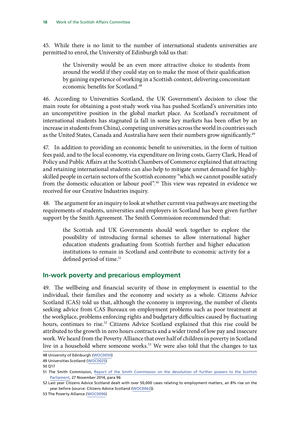<span id="page-21-0"></span>45. While there is no limit to the number of international students universities are permitted to enrol, the University of Edinburgh told us that:

the University would be an even more attractive choice to students from around the world if they could stay on to make the most of their qualification by gaining experience of working in a Scottish context, delivering concomitant economic benefits for Scotland<sup>48</sup>

46. According to Universities Scotland, the UK Government's decision to close the main route for obtaining a post-study work visa has pushed Scotland's universities into an uncompetitive position in the global market place. As Scotland's recruitment of international students has stagnated (a fall in some key markets has been offset by an increase in students from China), competing universities across the world in countries such as the United States, Canada and Australia have seen their numbers grow significantly.<sup>49</sup>

47. In addition to providing an economic benefit to universities, in the form of tuition fees paid, and to the local economy, via expenditure on living costs, Garry Clark, Head of Policy and Public Affairs at the Scottish Chambers of Commerce explained that attracting and retaining international students can also help to mitigate unmet demand for highlyskilled people in certain sectors of the Scottish economy "which we cannot possible satisfy from the domestic education or labour pool".<sup>50</sup> This view was repeated in evidence we received for our Creative Industries inquiry.

48. The argument for an inquiry to look at whether current visa pathways are meeting the requirements of students, universities and employers in Scotland has been given further support by the Smith Agreement. The Smith Commission recommended that:

the Scottish and UK Governments should work together to explore the possibility of introducing formal schemes to allow international higher education students graduating from Scottish further and higher education institutions to remain in Scotland and contribute to economic activity for a defined period of time.<sup>51</sup>

#### **In-work poverty and precarious employment**

49. The wellbeing and financial security of those in employment is essential to the individual, their families and the economy and society as a whole. Citizens Advice Scotland (CAS) told us that, although the economy is improving, the number of clients seeking advice from CAS Bureaux on employment problems such as poor treatment at the workplace, problems enforcing rights and budgetary difficulties caused by fluctuating hours, continues to rise.<sup>52</sup> Citizens Advice Scotland explained that this rise could be attributed to the growth in zero hours contracts and a wider trend of low pay and insecure work. We heard from the Poverty Alliance that over half of children in poverty in Scotland live in a household where someone works.<sup>53</sup> We were also told that the changes to tax

<sup>48</sup> University of Edinburgh ([WOC0050](http://data.parliament.uk/writtenevidence/committeeevidence.svc/evidencedocument/scottish-affairs-committee/work-of-the-scottish-affairs-committee/written/20984.html))

<sup>49</sup> Universities Scotland ([WOC0025\)](http://data.parliament.uk/writtenevidence/committeeevidence.svc/evidencedocument/scottish-affairs-committee/work-of-the-scottish-affairs-committee/written/20173.html)

<sup>50</sup> Q17

<sup>51</sup> The Smith Commission, [Report of the Smith Commission on the devolution of further powers to the Scottish](https://www.smith-commission.scot/wp-content/uploads/2014/11/The_Smith_Commission_Report-1.pdf) [Parliament](https://www.smith-commission.scot/wp-content/uploads/2014/11/The_Smith_Commission_Report-1.pdf), 27 November 2014, para 96

<sup>52</sup> Last year Citizens Advice Scotland dealt with over 50,000 cases relating to employment matters, an 8% rise on the year before (source: Citizens Advice Scotland ([WOC0062](http://data.parliament.uk/writtenevidence/committeeevidence.svc/evidencedocument/scottish-affairs-committee/work-of-the-scottish-affairs-committee/written/22769.html))).

<sup>53</sup> The Poverty Alliance ([WOC0006\)](http://data.parliament.uk/writtenevidence/committeeevidence.svc/evidencedocument/scottish-affairs-committee/work-of-the-scottish-affairs-committee/written/19039.html)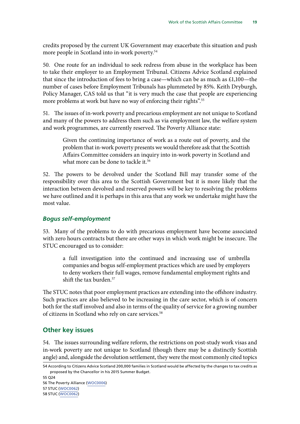<span id="page-22-0"></span>credits proposed by the current UK Government may exacerbate this situation and push more people in Scotland into in-work poverty.<sup>54</sup>

50. One route for an individual to seek redress from abuse in the workplace has been to take their employer to an Employment Tribunal. Citizens Advice Scotland explained that since the introduction of fees to bring a case—which can be as much as £1,100—the number of cases before Employment Tribunals has plummeted by 85%. Keith Dryburgh, Policy Manager, CAS told us that "it is very much the case that people are experiencing more problems at work but have no way of enforcing their rights".<sup>55</sup>

51. The issues of in-work poverty and precarious employment are not unique to Scotland and many of the powers to address them such as via employment law, the welfare system and work programmes, are currently reserved. The Poverty Alliance state:

Given the continuing importance of work as a route out of poverty, and the problem that in-work poverty presents we would therefore ask that the Scottish Affairs Committee considers an inquiry into in-work poverty in Scotland and what more can be done to tackle it.<sup>56</sup>

52. The powers to be devolved under the Scotland Bill may transfer some of the responsibility over this area to the Scottish Government but it is more likely that the interaction between devolved and reserved powers will be key to resolving the problems we have outlined and it is perhaps in this area that any work we undertake might have the most value.

#### *Bogus self-employment*

53. Many of the problems to do with precarious employment have become associated with zero hours contracts but there are other ways in which work might be insecure. The STUC encouraged us to consider:

a full investigation into the continued and increasing use of umbrella companies and bogus self-employment practices which are used by employers to deny workers their full wages, remove fundamental employment rights and shift the tax burden. $57$ 

The STUC notes that poor employment practices are extending into the offshore industry. Such practices are also believed to be increasing in the care sector, which is of concern both for the staff involved and also in terms of the quality of service for a growing number of citizens in Scotland who rely on care services.<sup>58</sup>

#### **Other key issues**

54. The issues surrounding welfare reform, the restrictions on post-study work visas and in-work poverty are not unique to Scotland (though there may be a distinctly Scottish angle) and, alongside the devolution settlement, they were the most commonly cited topics

55 Q24

56 The Poverty Alliance ([WOC0006\)](http://data.parliament.uk/writtenevidence/committeeevidence.svc/evidencedocument/scottish-affairs-committee/work-of-the-scottish-affairs-committee/written/19039.html)

57 STUC ([WOC0062\)](http://data.parliament.uk/writtenevidence/committeeevidence.svc/evidencedocument/scottish-affairs-committee/work-of-the-scottish-affairs-committee/written/20994.html)

58 STUC ([WOC0062\)](http://data.parliament.uk/writtenevidence/committeeevidence.svc/evidencedocument/scottish-affairs-committee/work-of-the-scottish-affairs-committee/written/20994.html)

<sup>54</sup> According to Citizens Advice Scotland 200,000 families in Scotland would be affected by the changes to tax credits as proposed by the Chancellor in his 2015 Summer Budget.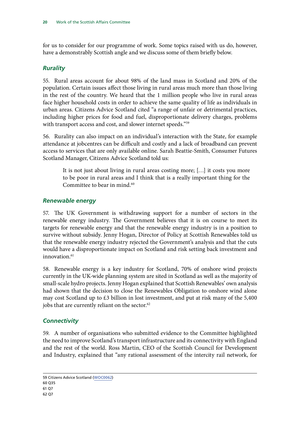<span id="page-23-0"></span>for us to consider for our programme of work. Some topics raised with us do, however, have a demonstrably Scottish angle and we discuss some of them briefly below.

#### *Rurality*

55. Rural areas account for about 98% of the land mass in Scotland and 20% of the population. Certain issues affect those living in rural areas much more than those living in the rest of the country. We heard that the 1 million people who live in rural areas face higher household costs in order to achieve the same quality of life as individuals in urban areas. Citizens Advice Scotland cited "a range of unfair or detrimental practices, including higher prices for food and fuel, disproportionate delivery charges, problems with transport access and cost, and slower internet speeds."<sup>59</sup>

56. Rurality can also impact on an individual's interaction with the State, for example attendance at jobcentres can be difficult and costly and a lack of broadband can prevent access to services that are only available online. Sarah Beattie-Smith, Consumer Futures Scotland Manager, Citizens Advice Scotland told us:

It is not just about living in rural areas costing more; […] it costs you more to be poor in rural areas and I think that is a really important thing for the Committee to bear in mind.<sup>60</sup>

#### *Renewable energy*

57. The UK Government is withdrawing support for a number of sectors in the renewable energy industry. The Government believes that it is on course to meet its targets for renewable energy and that the renewable energy industry is in a position to survive without subsidy. Jenny Hogan, Director of Policy at Scottish Renewables told us that the renewable energy industry rejected the Government's analysis and that the cuts would have a disproportionate impact on Scotland and risk setting back investment and innovation.<sup>61</sup>

58. Renewable energy is a key industry for Scotland, 70% of onshore wind projects currently in the UK-wide planning system are sited in Scotland as well as the majority of small-scale hydro projects. Jenny Hogan explained that Scottish Renewables' own analysis had shown that the decision to close the Renewables Obligation to onshore wind alone may cost Scotland up to £3 billion in lost investment, and put at risk many of the 5,400 jobs that are currently reliant on the sector. $62$ 

#### *Connectivity*

59. A number of organisations who submitted evidence to the Committee highlighted the need to improve Scotland's transport infrastructure and its connectivity with England and the rest of the world. Ross Martin, CEO of the Scottish Council for Development and Industry, explained that "any rational assessment of the intercity rail network, for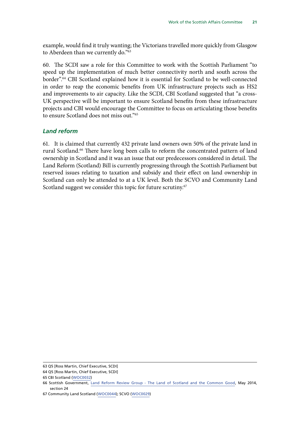<span id="page-24-0"></span>example, would find it truly wanting; the Victorians travelled more quickly from Glasgow to Aberdeen than we currently do."63

60. The SCDI saw a role for this Committee to work with the Scottish Parliament "to speed up the implementation of much better connectivity north and south across the border".<sup>64</sup> CBI Scotland explained how it is essential for Scotland to be well-connected in order to reap the economic benefits from UK infrastructure projects such as HS2 and improvements to air capacity. Like the SCDI, CBI Scotland suggested that "a cross-UK perspective will be important to ensure Scotland benefits from these infrastructure projects and CBI would encourage the Committee to focus on articulating those benefits to ensure Scotland does not miss out."65

#### *Land reform*

61. It is claimed that currently 432 private land owners own 50% of the private land in rural Scotland.<sup>66</sup> There have long been calls to reform the concentrated pattern of land ownership in Scotland and it was an issue that our predecessors considered in detail. The Land Reform (Scotland) Bill is currently progressing through the Scottish Parliament but reserved issues relating to taxation and subsidy and their effect on land ownership in Scotland can only be attended to at a UK level. Both the SCVO and Community Land Scotland suggest we consider this topic for future scrutiny.<sup>67</sup>

<sup>63</sup> Q5 [Ross Martin, Chief Executive, SCDI]

<sup>64</sup> Q5 [Ross Martin, Chief Executive, SCDI]

<sup>65</sup> CBI Scotland ([WOC0032](http://data.parliament.uk/writtenevidence/committeeevidence.svc/evidencedocument/scottish-affairs-committee/work-of-the-scottish-affairs-committee/written/20385.html))

<sup>66</sup> Scottish Government, [Land Reform Review Group - The Land of Scotland and the Common Good,](http://www.gov.scot/Publications/2014/05/2852/298170) May 2014, section 24

<sup>67</sup> Community Land Scotland [\(WOC0044](http://data.parliament.uk/writtenevidence/committeeevidence.svc/evidencedocument/scottish-affairs-committee/work-of-the-scottish-affairs-committee/written/20435.html)); SCVO ([WOC0029](http://data.parliament.uk/writtenevidence/committeeevidence.svc/evidencedocument/scottish-affairs-committee/work-of-the-scottish-affairs-committee/written/20373.html))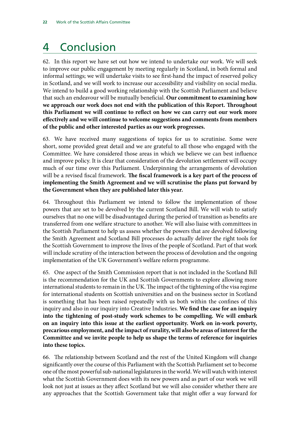# <span id="page-25-0"></span>4 Conclusion

62. In this report we have set out how we intend to undertake our work. We will seek to improve our public engagement by meeting regularly in Scotland, in both formal and informal settings; we will undertake visits to see first-hand the impact of reserved policy in Scotland, and we will work to increase our accessibility and visibility on social media. We intend to build a good working relationship with the Scottish Parliament and believe that such an endeavour will be mutually beneficial. **Our commitment to examining how we approach our work does not end with the publication of this Report. Throughout this Parliament we will continue to reflect on how we can carry out our work more effectively and we will continue to welcome suggestions and comments from members of the public and other interested parties as our work progresses.**

63. We have received many suggestions of topics for us to scrutinise. Some were short, some provided great detail and we are grateful to all those who engaged with the Committee. We have considered those areas in which we believe we can best influence and improve policy. It is clear that consideration of the devolution settlement will occupy much of our time over this Parliament. Underpinning the arrangements of devolution will be a revised fiscal framework. **The fiscal framework is a key part of the process of implementing the Smith Agreement and we will scrutinise the plans put forward by the Government when they are published later this year.**

64. Throughout this Parliament we intend to follow the implementation of those powers that are set to be devolved by the current Scotland Bill. We will wish to satisfy ourselves that no one will be disadvantaged during the period of transition as benefits are transferred from one welfare structure to another. We will also liaise with committees in the Scottish Parliament to help us assess whether the powers that are devolved following the Smith Agreement and Scotland Bill processes do actually deliver the right tools for the Scottish Government to improve the lives of the people of Scotland. Part of that work will include scrutiny of the interaction between the process of devolution and the ongoing implementation of the UK Government's welfare reform programme.

65. One aspect of the Smith Commission report that is not included in the Scotland Bill is the recommendation for the UK and Scottish Governments to explore allowing more international students to remain in the UK. The impact of the tightening of the visa regime for international students on Scottish universities and on the business sector in Scotland is something that has been raised repeatedly with us both within the confines of this inquiry and also in our inquiry into Creative Industries. We find the case for an inquiry **into the tightening of post-study work schemes to be compelling. We will embark on an inquiry into this issue at the earliest opportunity. Work on in-work poverty, precarious employment, and the impact of rurality, will also be areas of interest for the Committee and we invite people to help us shape the terms of reference for inquiries into these topics.**

66. The relationship between Scotland and the rest of the United Kingdom will change significantly over the course of this Parliament with the Scottish Parliament set to become one of the most powerful sub-national legislatures in the world. We will watch with interest what the Scottish Government does with its new powers and as part of our work we will look not just at issues as they affect Scotland but we will also consider whether there are any approaches that the Scottish Government take that might offer a way forward for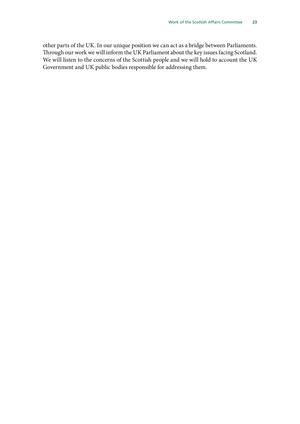other parts of the UK. In our unique position we can act as a bridge between Parliaments. Through our work we will inform the UK Parliament about the key issues facing Scotland. We will listen to the concerns of the Scottish people and we will hold to account the UK Government and UK public bodies responsible for addressing them.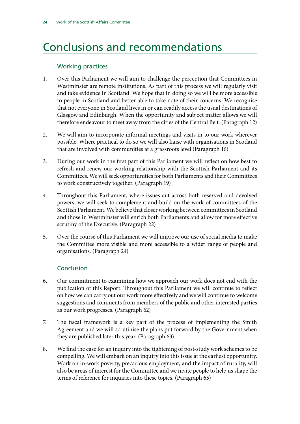# <span id="page-27-0"></span>Conclusions and recommendations

#### Working practices

- 1. Over this Parliament we will aim to challenge the perception that Committees in Westminster are remote institutions. As part of this process we will regularly visit and take evidence in Scotland. We hope that in doing so we will be more accessible to people in Scotland and better able to take note of their concerns. We recognise that not everyone in Scotland lives in or can readily access the usual destinations of Glasgow and Edinburgh. When the opportunity and subject matter allows we will therefore endeavour to meet away from the cities of the Central Belt. (Paragraph 12)
- 2. We will aim to incorporate informal meetings and visits in to our work wherever possible. Where practical to do so we will also liaise with organisations in Scotland that are involved with communities at a grassroots level (Paragraph 16)
- 3. During our work in the first part of this Parliament we will reflect on how best to refresh and renew our working relationship with the Scottish Parliament and its Committees. We will seek opportunities for both Parliaments and their Committees to work constructively together. (Paragraph 19)
- 4. Throughout this Parliament, where issues cut across both reserved and devolved powers, we will seek to complement and build on the work of committees of the Scottish Parliament. We believe that closer working between committees in Scotland and those in Westminster will enrich both Parliaments and allow for more effective scrutiny of the Executive. (Paragraph 22)
- 5. Over the course of this Parliament we will improve our use of social media to make the Committee more visible and more accessible to a wider range of people and organisations. (Paragraph 24)

#### Conclusion

- 6. Our commitment to examining how we approach our work does not end with the publication of this Report. Throughout this Parliament we will continue to reflect on how we can carry out our work more effectively and we will continue to welcome suggestions and comments from members of the public and other interested parties as our work progresses. (Paragraph 62)
- 7. The fiscal framework is a key part of the process of implementing the Smith Agreement and we will scrutinise the plans put forward by the Government when they are published later this year. (Paragraph 63)
- 8. We find the case for an inquiry into the tightening of post-study work schemes to be compelling. We will embark on an inquiry into this issue at the earliest opportunity. Work on in-work poverty, precarious employment, and the impact of rurality, will also be areas of interest for the Committee and we invite people to help us shape the terms of reference for inquiries into these topics. (Paragraph 65)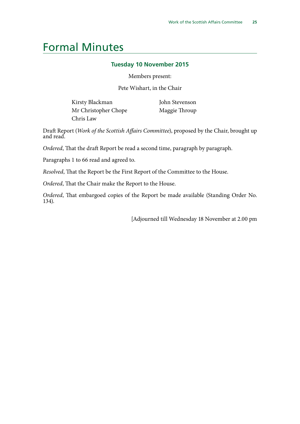## <span id="page-28-0"></span>Formal Minutes

#### **Tuesday 10 November 2015**

Members present:

Pete Wishart, in the Chair

Kirsty Blackman Mr Christopher Chope Chris Law

John Stevenson Maggie Throup

Draft Report (*Work of the Scottish Affairs Committee*), proposed by the Chair, brought up and read.

*Ordered*, That the draft Report be read a second time, paragraph by paragraph.

Paragraphs 1 to 66 read and agreed to.

*Resolved*, That the Report be the First Report of the Committee to the House.

*Ordered*, That the Chair make the Report to the House.

*Ordered*, That embargoed copies of the Report be made available (Standing Order No. 134).

[Adjourned till Wednesday 18 November at 2.00 pm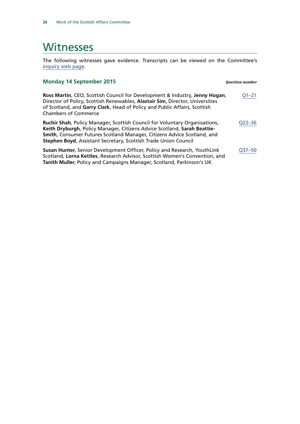## <span id="page-29-0"></span>**Witnesses**

The following witnesses gave evidence. Transcripts can be viewed on the Committee's [inquiry web page](http://www.parliament.uk/business/committees/committees-a-z/commons-select/scottish-affairs-committee/inquiries/parliament-2015/work-of-scottish-affairs-committee-2015-2020/).

| <b>Monday 14 September 2015</b>                                                                                                                                                                                                                                                                      | <b>Ouestion number</b> |
|------------------------------------------------------------------------------------------------------------------------------------------------------------------------------------------------------------------------------------------------------------------------------------------------------|------------------------|
| Ross Martin, CEO, Scottish Council for Development & Industry, Jenny Hogan,<br>Director of Policy, Scottish Renewables, Alastair Sim, Director, Universities<br>of Scotland, and Garry Clark, Head of Policy and Public Affairs, Scottish<br><b>Chambers of Commerce</b>                             | $Q1 - 21$              |
| Ruchir Shah, Policy Manager, Scottish Council for Voluntary Organisations,<br>Keith Dryburgh, Policy Manager, Citizens Advice Scotland, Sarah Beattie-<br>Smith, Consumer Futures Scotland Manager, Citizens Advice Scotland, and<br>Stephen Boyd, Assistant Secretary, Scottish Trade Union Council | Q22-36                 |
| Susan Hunter, Senior Development Officer, Policy and Research, YouthLink<br>Scotland, Lorna Kettles, Research Advisor, Scottish Women's Convention, and<br>Tanith Muller, Policy and Campaigns Manager, Scotland, Parkinson's UK                                                                     | Q37-50                 |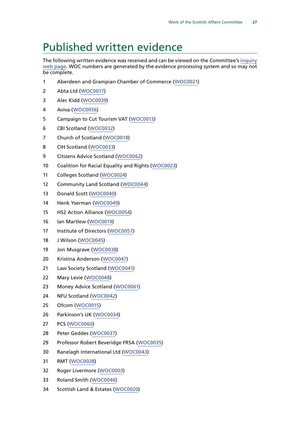## <span id="page-30-0"></span>Published written evidence

The following written evidence was received and can be viewed on the Committee's [inquiry](http://www.parliament.uk/business/committees/committees-a-z/commons-select/scottish-affairs-committee/inquiries/parliament-2015/work-of-scottish-affairs-committee-2015-2020/) [web page](http://www.parliament.uk/business/committees/committees-a-z/commons-select/scottish-affairs-committee/inquiries/parliament-2015/work-of-scottish-affairs-committee-2015-2020/). WOC numbers are generated by the evidence processing system and so may not be complete.

- Aberdeen and Grampian Chamber of Commerce ([WOC0021](http://data.parliament.uk/WrittenEvidence/CommitteeEvidence.svc/EvidenceDocument/Scottish%20Affairs/Work%20of%20the%20Scottish%20Affairs%20Committee/written/20162.html))
- Abta Ltd ([WOC0017](http://data.parliament.uk/WrittenEvidence/CommitteeEvidence.svc/EvidenceDocument/Scottish%20Affairs/Work%20of%20the%20Scottish%20Affairs%20Committee/written/20032.html))
- Alec Kidd ([WOC0039](http://data.parliament.uk/WrittenEvidence/CommitteeEvidence.svc/EvidenceDocument/Scottish%20Affairs/Work%20of%20the%20Scottish%20Affairs%20Committee/written/20426.html))
- Aviva ([WOC0056\)](http://data.parliament.uk/WrittenEvidence/CommitteeEvidence.svc/EvidenceDocument/Scottish%20Affairs/Work%20of%20the%20Scottish%20Affairs%20Committee/written/21425.html)
- Campaign to Cut Tourism VAT ([WOC0013](http://data.parliament.uk/WrittenEvidence/CommitteeEvidence.svc/EvidenceDocument/Scottish%20Affairs/Work%20of%20the%20Scottish%20Affairs%20Committee/written/19916.html))
- CBI Scotland ([WOC0032](http://data.parliament.uk/WrittenEvidence/CommitteeEvidence.svc/EvidenceDocument/Scottish%20Affairs/Work%20of%20the%20Scottish%20Affairs%20Committee/written/20385.html))
- Church of Scotland ([WOC0018](http://data.parliament.uk/WrittenEvidence/CommitteeEvidence.svc/EvidenceDocument/Scottish%20Affairs/Work%20of%20the%20Scottish%20Affairs%20Committee/written/20042.html))
- CIH Scotland ([WOC0033](http://data.parliament.uk/WrittenEvidence/CommitteeEvidence.svc/EvidenceDocument/Scottish%20Affairs/Work%20of%20the%20Scottish%20Affairs%20Committee/written/20389.html))
- Citizens Advice Scotland ([WOC0062](http://data.parliament.uk/WrittenEvidence/CommitteeEvidence.svc/EvidenceDocument/Scottish%20Affairs/Work%20of%20the%20Scottish%20Affairs%20Committee/written/22769.html))
- Coalition for Racial Equality and Rights ([WOC0023](http://data.parliament.uk/WrittenEvidence/CommitteeEvidence.svc/EvidenceDocument/Scottish%20Affairs/Work%20of%20the%20Scottish%20Affairs%20Committee/written/20171.html))
- Colleges Scotland ([WOC0024](http://data.parliament.uk/WrittenEvidence/CommitteeEvidence.svc/EvidenceDocument/Scottish%20Affairs/Work%20of%20the%20Scottish%20Affairs%20Committee/written/20172.html))
- Community Land Scotland ([WOC0044](http://data.parliament.uk/WrittenEvidence/CommitteeEvidence.svc/EvidenceDocument/Scottish%20Affairs/Work%20of%20the%20Scottish%20Affairs%20Committee/written/20435.html))
- Donald Scott [\(WOC0040\)](http://data.parliament.uk/WrittenEvidence/CommitteeEvidence.svc/EvidenceDocument/Scottish%20Affairs/Work%20of%20the%20Scottish%20Affairs%20Committee/written/20427.html)
- Henk Yserman ([WOC0049](http://data.parliament.uk/WrittenEvidence/CommitteeEvidence.svc/EvidenceDocument/Scottish%20Affairs/Work%20of%20the%20Scottish%20Affairs%20Committee/written/20441.html))
- HS2 Action Alliance [\(WOC0054](http://data.parliament.uk/WrittenEvidence/CommitteeEvidence.svc/EvidenceDocument/Scottish%20Affairs/Work%20of%20the%20Scottish%20Affairs%20Committee/written/21421.html))
- Ian Martlew ([WOC0019\)](http://data.parliament.uk/WrittenEvidence/CommitteeEvidence.svc/EvidenceDocument/Scottish%20Affairs/Work%20of%20the%20Scottish%20Affairs%20Committee/written/20141.html)
- Institute of Directors ([WOC0057\)](http://data.parliament.uk/WrittenEvidence/CommitteeEvidence.svc/EvidenceDocument/Scottish%20Affairs/Work%20of%20the%20Scottish%20Affairs%20Committee/written/21496.html)
- J Wilson ([WOC0045](http://data.parliament.uk/WrittenEvidence/CommitteeEvidence.svc/EvidenceDocument/Scottish%20Affairs/Work%20of%20the%20Scottish%20Affairs%20Committee/written/20436.html))
- Jon Musgrave ([WOC0038](http://data.parliament.uk/WrittenEvidence/CommitteeEvidence.svc/EvidenceDocument/Scottish%20Affairs/Work%20of%20the%20Scottish%20Affairs%20Committee/written/20425.html))
- Kristina Anderson ([WOC0047\)](http://data.parliament.uk/WrittenEvidence/CommitteeEvidence.svc/EvidenceDocument/Scottish%20Affairs/Work%20of%20the%20Scottish%20Affairs%20Committee/written/20438.html)
- Law Society Scotland ([WOC0041\)](http://data.parliament.uk/WrittenEvidence/CommitteeEvidence.svc/EvidenceDocument/Scottish%20Affairs/Work%20of%20the%20Scottish%20Affairs%20Committee/written/20432.html)
- Mary Levie ([WOC0048](http://data.parliament.uk/WrittenEvidence/CommitteeEvidence.svc/EvidenceDocument/Scottish%20Affairs/Work%20of%20the%20Scottish%20Affairs%20Committee/written/20439.html))
- Money Advice Scotland ([WOC0061\)](http://data.parliament.uk/WrittenEvidence/CommitteeEvidence.svc/EvidenceDocument/Scottish%20Affairs/Work%20of%20the%20Scottish%20Affairs%20Committee/written/22645.html)
- NFU Scotland ([WOC0042](http://data.parliament.uk/WrittenEvidence/CommitteeEvidence.svc/EvidenceDocument/Scottish%20Affairs/Work%20of%20the%20Scottish%20Affairs%20Committee/written/20433.html))
- Ofcom ([WOC0015](http://data.parliament.uk/WrittenEvidence/CommitteeEvidence.svc/EvidenceDocument/Scottish%20Affairs/Work%20of%20the%20Scottish%20Affairs%20Committee/written/19939.html))
- Parkinson's UK ([WOC0034](http://data.parliament.uk/WrittenEvidence/CommitteeEvidence.svc/EvidenceDocument/Scottish%20Affairs/Work%20of%20the%20Scottish%20Affairs%20Committee/written/20391.html))
- PCS ([WOC0060\)](http://data.parliament.uk/WrittenEvidence/CommitteeEvidence.svc/EvidenceDocument/Scottish%20Affairs/Work%20of%20the%20Scottish%20Affairs%20Committee/written/21815.html)
- Peter Geddes ([WOC0037\)](http://data.parliament.uk/WrittenEvidence/CommitteeEvidence.svc/EvidenceDocument/Scottish%20Affairs/Work%20of%20the%20Scottish%20Affairs%20Committee/written/20424.html)
- Professor Robert Beveridge FRSA ([WOC0035\)](http://data.parliament.uk/WrittenEvidence/CommitteeEvidence.svc/EvidenceDocument/Scottish%20Affairs/Work%20of%20the%20Scottish%20Affairs%20Committee/written/20418.html)
- Ranelagh International Ltd ([WOC0043](http://data.parliament.uk/WrittenEvidence/CommitteeEvidence.svc/EvidenceDocument/Scottish%20Affairs/Work%20of%20the%20Scottish%20Affairs%20Committee/written/20434.html))
- RMT ([WOC0028\)](http://data.parliament.uk/WrittenEvidence/CommitteeEvidence.svc/EvidenceDocument/Scottish%20Affairs/Work%20of%20the%20Scottish%20Affairs%20Committee/written/20358.html)
- Roger Livermore ([WOC0003](http://data.parliament.uk/WrittenEvidence/CommitteeEvidence.svc/EvidenceDocument/Scottish%20Affairs/Work%20of%20the%20Scottish%20Affairs%20Committee/written/18749.html))
- Roland Smith ([WOC0046](http://data.parliament.uk/WrittenEvidence/CommitteeEvidence.svc/EvidenceDocument/Scottish%20Affairs/Work%20of%20the%20Scottish%20Affairs%20Committee/written/20437.html))
- Scottish Land & Estates ([WOC0020](http://data.parliament.uk/WrittenEvidence/CommitteeEvidence.svc/EvidenceDocument/Scottish%20Affairs/Work%20of%20the%20Scottish%20Affairs%20Committee/written/20157.html))